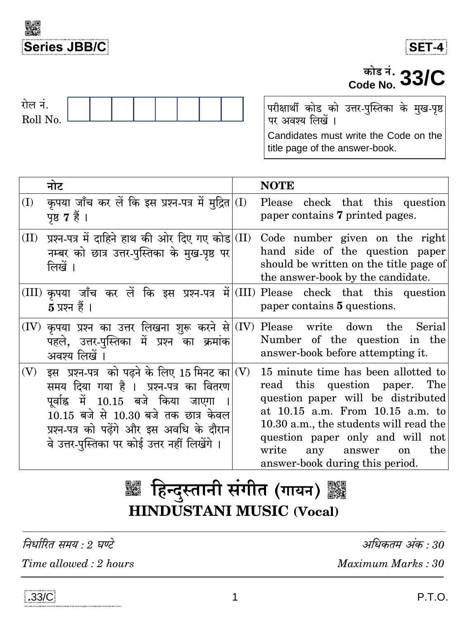



# $\frac{1}{\text{code No.}}$  33/C



परीक्षार्थी कोड को उत्तर-पुस्तिका के मुख-पृष्ठ<br>पर अवश्य लिखें । Candidates must write the Code on the

title page of the answer-book.

|      | नोट                                                                                                                                                                                                                                                                 |     | <b>NOTE</b>                                                                                                                                                                                                                                                                                                       |
|------|---------------------------------------------------------------------------------------------------------------------------------------------------------------------------------------------------------------------------------------------------------------------|-----|-------------------------------------------------------------------------------------------------------------------------------------------------------------------------------------------------------------------------------------------------------------------------------------------------------------------|
| (I)  | कृपया जाँच कर लें कि इस प्रश्न-पत्र में मुद्रित <br>पृष्ठ 7 हैं ।                                                                                                                                                                                                   | (I) | Please check that this question<br>paper contains 7 printed pages.                                                                                                                                                                                                                                                |
| (II) | प्रश्न-पत्र में दाहिने हाथ की ओर दिए गए कोड (II)<br>नम्बर को छात्र उत्तर-पुस्तिका के मुख-पृष्ठ पर<br>लिखें ।                                                                                                                                                        |     | Code number given on the right<br>hand side of the question paper<br>should be written on the title page of<br>the answer-book by the candidate.                                                                                                                                                                  |
|      | $5 \overline{x}$ प्रश्न हैं ।                                                                                                                                                                                                                                       |     | $(III)$ कृपया जाँच कर लें कि इस प्रश्न-पत्र में (III) Please check that this question<br>paper contains 5 questions.                                                                                                                                                                                              |
|      | $(IV)$ कृपया प्रश्न का उत्तर लिखना शुरू करने से $(IV)$<br>पहले, उत्तर-पुस्तिका में प्रश्न का क्रमांक<br>अवश्य लिखें                                                                                                                                                 |     | Please write down the<br>Serial<br>Number of the question in the<br>answer-book before attempting it.                                                                                                                                                                                                             |
| (V)  | इस प्रश्न-पत्र को पढ़ने के लिए 15 मिनट का (V)<br>समय दिया गया है । प्रश्न-पत्र का वितरण<br>पूर्वाह्न में 10.15 बजे किया जाएगा<br>10.15 बजे से 10.30 बजे तक छात्र केवल<br>प्रश्न-पत्र को पढेंगे और इस अवधि के दौरान<br>वे उत्तर-पुस्तिका पर कोई उत्तर नहीं लिखेंगे । |     | 15 minute time has been allotted to<br>read this question paper. The<br>question paper will be distributed<br>at 10.15 a.m. From 10.15 a.m. to<br>10.30 a.m., the students will read the<br>question paper only and will not<br>write<br>the<br>any<br>answer<br><sub>on</sub><br>answer-book during this period. |

# ▓ हिन्दुस्तानी संगीत (गायन) ▓▓ **HINDUSTANI MUSIC (Vocal)**

निर्धारित समय : २ घण्टे Time allowed: 2 hours

अधिकतम अंक : 30 Maximum Marks: 30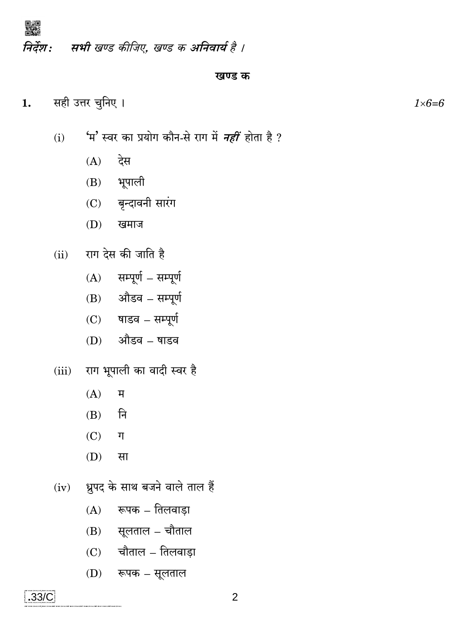

#### खण्ड क

सही उत्तर चुनिए ।  $1.$ 

嬲

- 'म' स्वर का प्रयोग कौन-से राग में *नहीं* होता है ?  $(i)$ 
	- $(A)$ देस
	- भूपाली  $(B)$
	- बृन्दावनी सारंग  $(C)$
	- $(D)$ खमाज
- राग देस की जाति है  $(ii)$ 
	- सम्पूर्ण सम्पूर्ण  $(A)$
	- $(B)$  औडव सम्पूर्ण
	- $(C)$  षाडव सम्पूर्ण
	- औडव षाडव  $(D)$
- राग भूपाली का वादी स्वर है  $(iii)$ 
	- $(A)$ म
	- नि  $(B)$
	- $(C)$ ग
	- (D) सा
- ध्रुपद के साथ बजने वाले ताल हैं  $(iv)$ 
	- रूपक तिलवाड़ा  $(A)$
	- $(B)$  सूलताल चौताल
	- $(C)$  चौताल तिलवाड़ा
	- $(D)$  रूपक सूलताल

 $1\times6=6$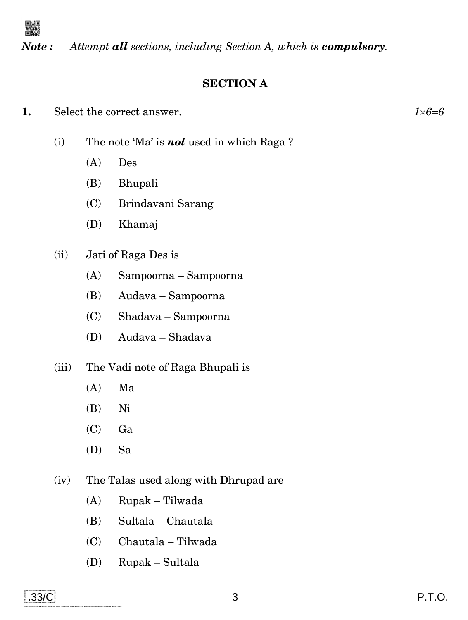

*Note : Attempt all sections, including Section A, which is compulsory.*

# **SECTION A**

- **1.** Select the correct answer. *16=6*
	- (i) The note 'Ma' is *not* used in which Raga ?
		- (A) Des
		- (B) Bhupali
		- (C) Brindavani Sarang
		- (D) Khamaj
	- (ii) Jati of Raga Des is
		- (A) Sampoorna Sampoorna
		- (B) Audava Sampoorna
		- (C) Shadava Sampoorna
		- (D) Audava Shadava
	- (iii) The Vadi note of Raga Bhupali is
		- (A) Ma
		- (B) Ni
		- (C) Ga
		- (D) Sa
	- (iv) The Talas used along with Dhrupad are
		- (A) Rupak Tilwada
		- (B) Sultala Chautala
		- (C) Chautala Tilwada
		- (D) Rupak Sultala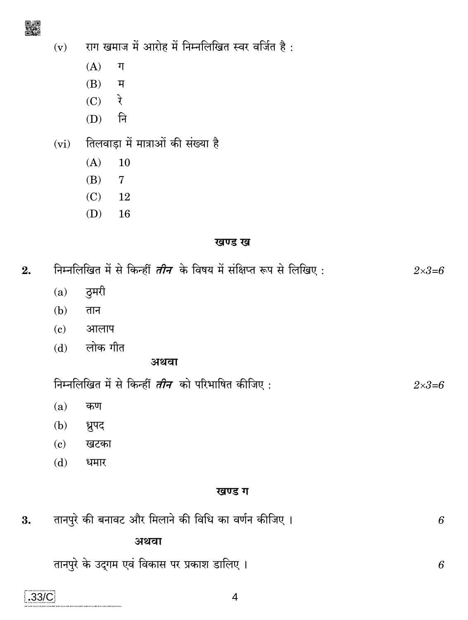- राग खमाज में आरोह में निम्नलिखित स्वर वर्जित है:  $(v)$ 
	- $(A)$  $\P$
	- $(B)$ म
	- रे  $(C)$
	- नि  $(D)$
- तिलवाड़ा में मात्राओं की संख्या है  $(vi)$ 
	- $(A)$ 10
	- $(B)$  $\overline{7}$
	- $(C)$ 12
	- $(D)$ 16

## खण्ड ख

| 2. | निम्नलिखित में से किन्हीं <i>तीन</i> के विषय में संक्षिप्त रूप से लिखिए : |                                                          |                  |
|----|---------------------------------------------------------------------------|----------------------------------------------------------|------------------|
|    | (a)                                                                       | ठुमरी                                                    |                  |
|    | (b)                                                                       | तान                                                      |                  |
|    | $\left( \mathbf{c}\right)$                                                | आलाप                                                     |                  |
|    | (d)                                                                       | लोक गीत                                                  |                  |
|    |                                                                           | अथवा                                                     |                  |
|    |                                                                           | निम्नलिखित में से किन्हीं <i>तीन</i> को परिभाषित कीजिए : | $2 \times 3 = 6$ |
|    | (a)                                                                       | कण                                                       |                  |
|    | (b)                                                                       | ध्रुपद                                                   |                  |
|    | (c)                                                                       | खटका                                                     |                  |
|    | (d)                                                                       | धमार                                                     |                  |
|    |                                                                           | खण्ड ग                                                   |                  |
| 3. |                                                                           | तानपुरे की बनावट और मिलाने की विधि का वर्णन कीजिए ।      | 6                |
|    |                                                                           | अथवा                                                     |                  |
|    |                                                                           | तानपुरे के उदगम एवं विकास पर प्रकाश डालिए ।              | 6                |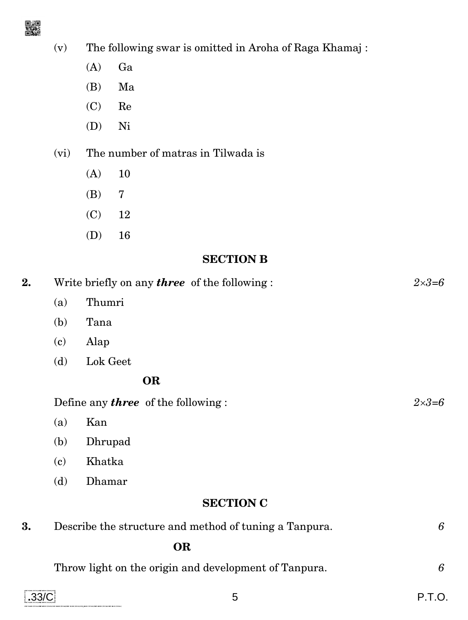

- (v) The following swar is omitted in Aroha of Raga Khamaj :
	- (A) Ga
	- (B) Ma
	- (C) Re
	- (D) Ni
- (vi) The number of matras in Tilwada is
	- (A) 10
	- (B) 7
	- (C) 12
	- (D) 16

# **SECTION B**

| 2.               |                                            | Write briefly on any <b>three</b> of the following : | $2 \times 3 = 6$ |  |  |
|------------------|--------------------------------------------|------------------------------------------------------|------------------|--|--|
|                  | (a)                                        | Thumri                                               |                  |  |  |
|                  | (b)                                        | Tana                                                 |                  |  |  |
|                  | $\left( \mathbf{c}\right)$                 | Alap                                                 |                  |  |  |
|                  | (d)                                        | Lok Geet                                             |                  |  |  |
|                  |                                            | <b>OR</b>                                            |                  |  |  |
|                  | Define any <b>three</b> of the following : |                                                      |                  |  |  |
|                  | (a)                                        | Kan                                                  |                  |  |  |
|                  | (b)                                        | Dhrupad                                              |                  |  |  |
|                  | (c)                                        | Khatka                                               |                  |  |  |
|                  | (d)                                        | Dhamar                                               |                  |  |  |
| <b>SECTION C</b> |                                            |                                                      |                  |  |  |
|                  |                                            |                                                      |                  |  |  |

**3.** Describe the structure and method of tuning a Tanpura. *6*  **OR**

| Throw light on the origin and development of Tanpura. |  |
|-------------------------------------------------------|--|
|-------------------------------------------------------|--|

| .33/C<br>FIND MAKE OF CALLINGE BEANC POCAL HING.                                                                       | . |
|------------------------------------------------------------------------------------------------------------------------|---|
| 1965 M BALLARDAN MARIE MERIO WOLAS WAS WAS CASON MARIE MISSO WOLA MARIE MERIO WOLAS WAS ARRESTED ON MARIE MERIO WOLAST |   |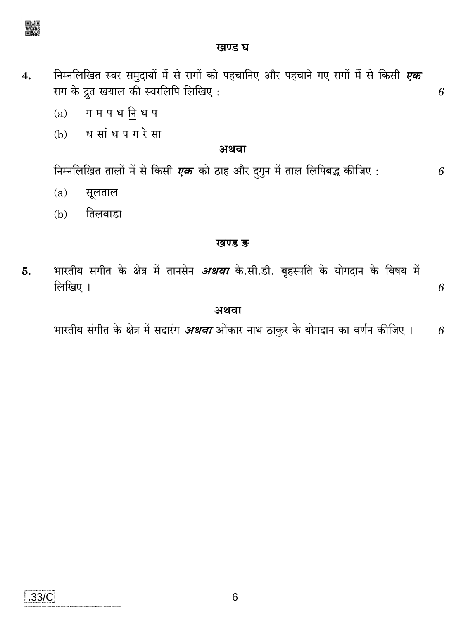

#### खण्ड घ

- निम्नलिखित स्वर समुदायों में से रागों को पहचानिए और पहचाने गए रागों में से किसी *एक*  $\overline{4}$ . राग के द्रुत खयाल की स्वरलिपि लिखिए:
	- ग म प ध नि ध प  $(a)$
	- ध सांध प ग रे सा  $(b)$

#### अथवा

निम्नलिखित तालों में से किसी एक को ठाह और द्गुन में ताल लिपिबद्ध कीजिए : 6

6

- $(a)$ सूलताल
- तिलवाडा  $(b)$

#### खण्ड ङ

भारतीय संगीत के क्षेत्र में तानसेन *अथवा* के.सी.डी. बृहस्पति के योगदान के विषय में 5. लिखिए । 6

#### अथवा

भारतीय संगीत के क्षेत्र में सदारंग *अथवा* ओंकार नाथ ठाकुर के योगदान का वर्णन कीजिए । 6